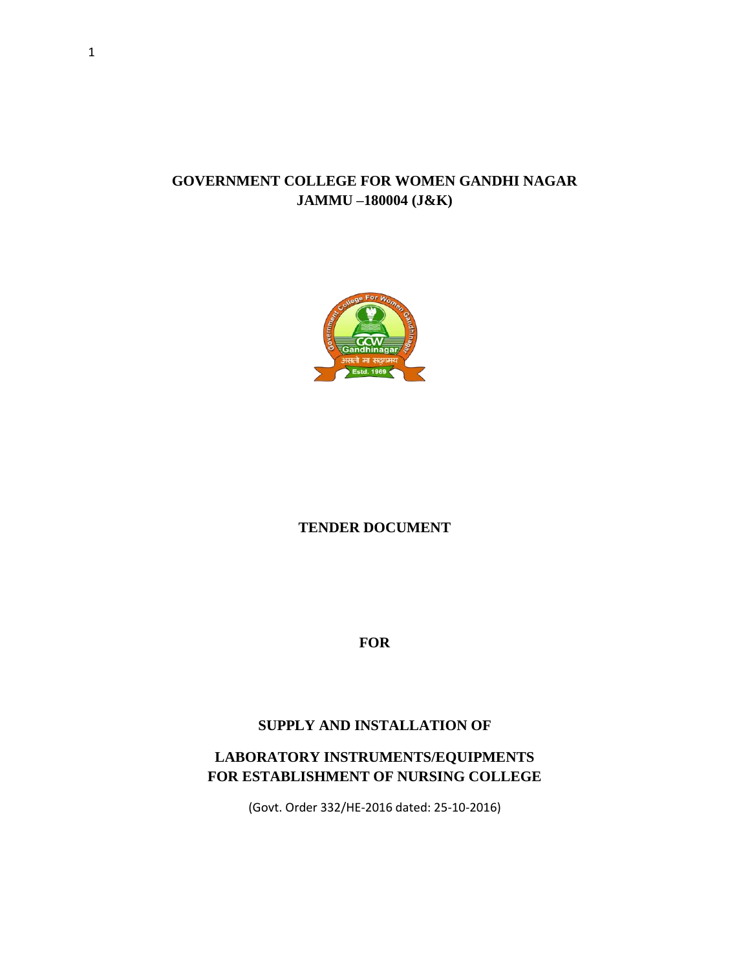#### **GOVERNMENT COLLEGE FOR WOMEN GANDHI NAGAR JAMMU –180004 (J&K)**



#### **TENDER DOCUMENT**

**FOR**

#### **SUPPLY AND INSTALLATION OF**

### **LABORATORY INSTRUMENTS/EQUIPMENTS FOR ESTABLISHMENT OF NURSING COLLEGE**

(Govt. Order 332/HE-2016 dated: 25-10-2016)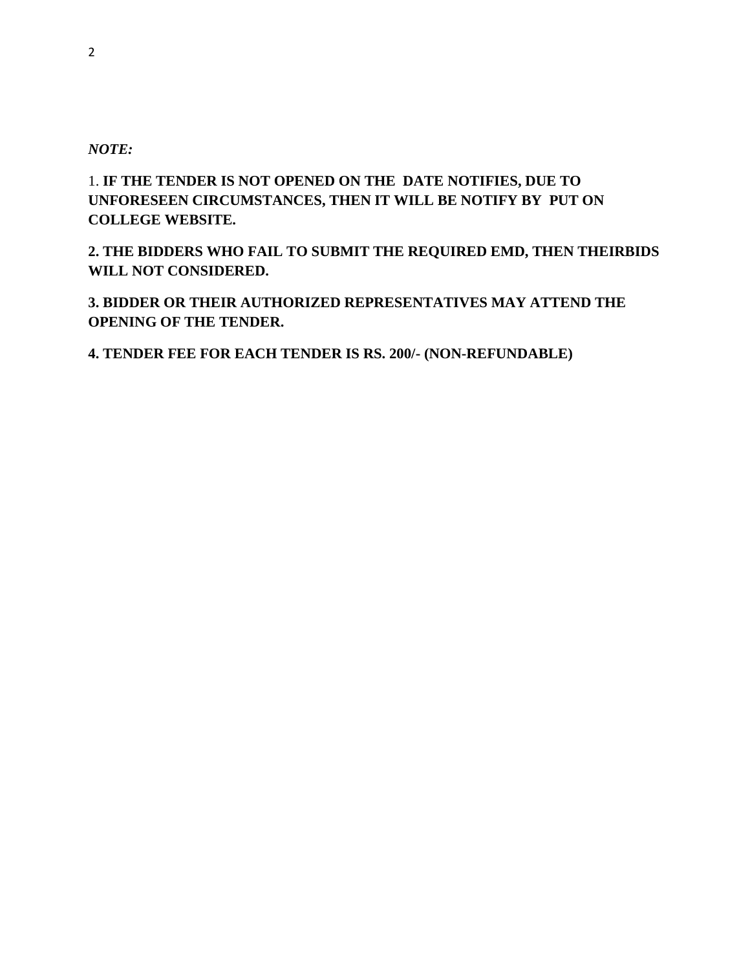#### *NOTE:*

1. **IF THE TENDER IS NOT OPENED ON THE DATE NOTIFIES, DUE TO UNFORESEEN CIRCUMSTANCES, THEN IT WILL BE NOTIFY BY PUT ON COLLEGE WEBSITE.**

**2. THE BIDDERS WHO FAIL TO SUBMIT THE REQUIRED EMD, THEN THEIRBIDS WILL NOT CONSIDERED.**

**3. BIDDER OR THEIR AUTHORIZED REPRESENTATIVES MAY ATTEND THE OPENING OF THE TENDER.**

**4. TENDER FEE FOR EACH TENDER IS RS. 200/- (NON-REFUNDABLE)**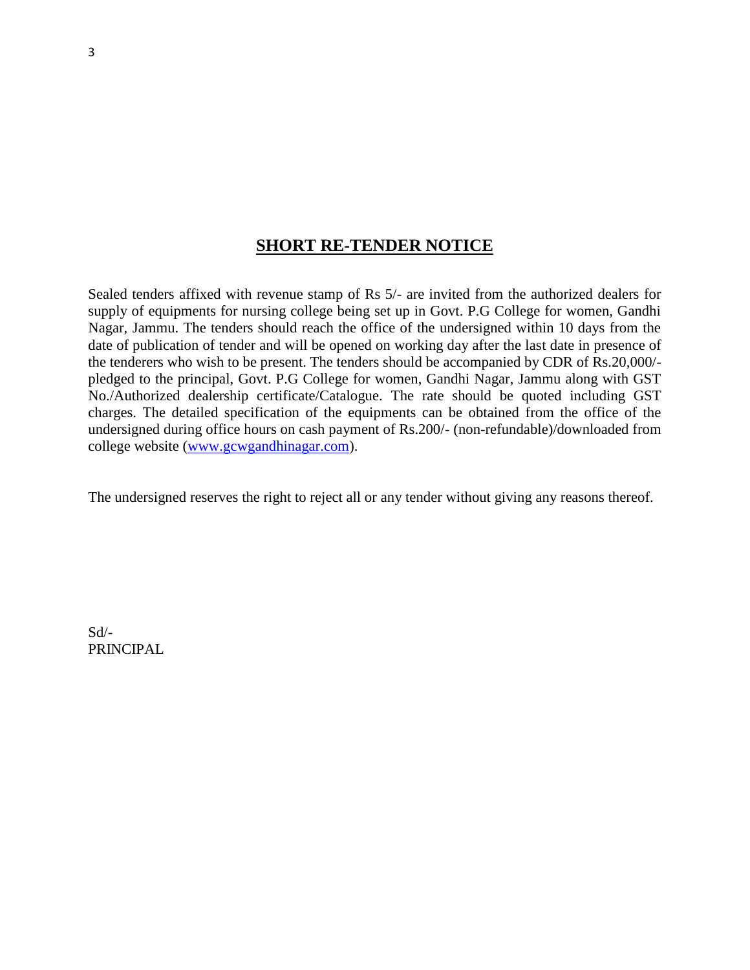### **SHORT RE-TENDER NOTICE**

Sealed tenders affixed with revenue stamp of Rs 5/- are invited from the authorized dealers for supply of equipments for nursing college being set up in Govt. P.G College for women, Gandhi Nagar, Jammu. The tenders should reach the office of the undersigned within 10 days from the date of publication of tender and will be opened on working day after the last date in presence of the tenderers who wish to be present. The tenders should be accompanied by CDR of Rs.20,000/ pledged to the principal, Govt. P.G College for women, Gandhi Nagar, Jammu along with GST No./Authorized dealership certificate/Catalogue. The rate should be quoted including GST charges. The detailed specification of the equipments can be obtained from the office of the undersigned during office hours on cash payment of Rs.200/- (non-refundable)/downloaded from college website [\(www.gcwgandhinagar.com\)](http://www.gcwgandhinagar.com/).

The undersigned reserves the right to reject all or any tender without giving any reasons thereof.

Sd/- PRINCIPAL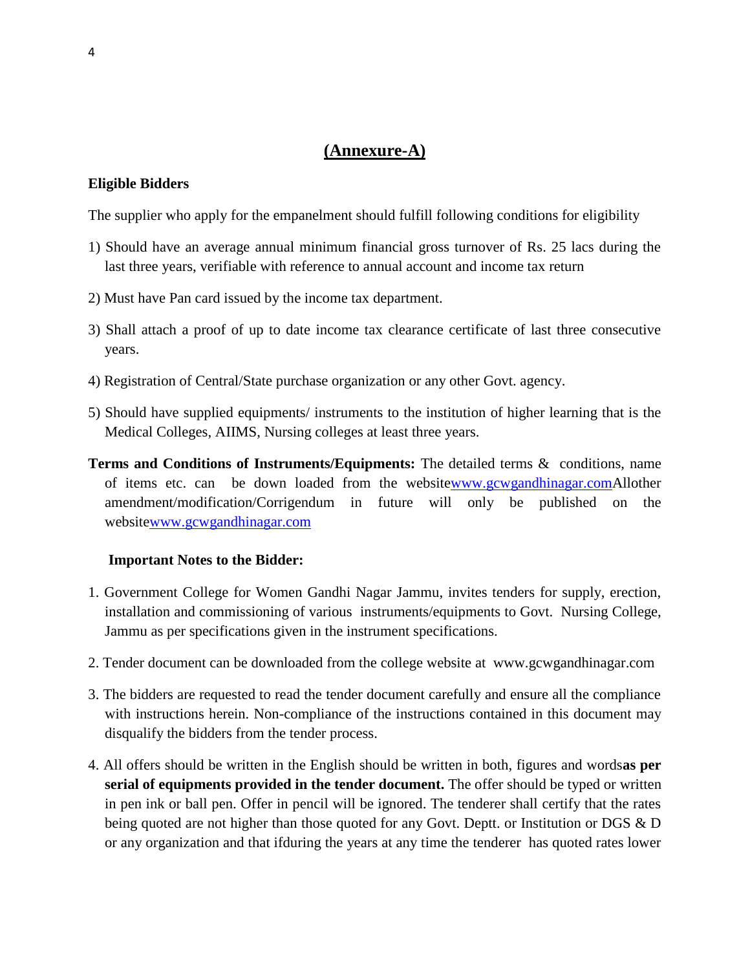# **(Annexure-A)**

#### **Eligible Bidders**

The supplier who apply for the empanelment should fulfill following conditions for eligibility

- 1) Should have an average annual minimum financial gross turnover of Rs. 25 lacs during the last three years, verifiable with reference to annual account and income tax return
- 2) Must have Pan card issued by the income tax department.
- 3) Shall attach a proof of up to date income tax clearance certificate of last three consecutive years.
- 4) Registration of Central/State purchase organization or any other Govt. agency.
- 5) Should have supplied equipments/ instruments to the institution of higher learning that is the Medical Colleges, AIIMS, Nursing colleges at least three years.
- **Terms and Conditions of Instruments/Equipments:** The detailed terms & conditions, name of items etc. can be down loaded from the websit[ewww.gcwgandhinagar.comA](http://www.gcwgandhinagar.com/)llother amendment/modification/Corrigendum in future will only be published on the websit[ewww.gcwgandhinagar.com](http://www.gcwgandhinagar.com/)

#### **Important Notes to the Bidder:**

- 1. Government College for Women Gandhi Nagar Jammu, invites tenders for supply, erection, installation and commissioning of various instruments/equipments to Govt. Nursing College, Jammu as per specifications given in the instrument specifications.
- 2. Tender document can be downloaded from the college website at www.gcwgandhinagar.com
- 3. The bidders are requested to read the tender document carefully and ensure all the compliance with instructions herein. Non-compliance of the instructions contained in this document may disqualify the bidders from the tender process.
- 4. All offers should be written in the English should be written in both, figures and words**as per serial of equipments provided in the tender document.** The offer should be typed or written in pen ink or ball pen. Offer in pencil will be ignored. The tenderer shall certify that the rates being quoted are not higher than those quoted for any Govt. Deptt. or Institution or DGS & D or any organization and that ifduring the years at any time the tenderer has quoted rates lower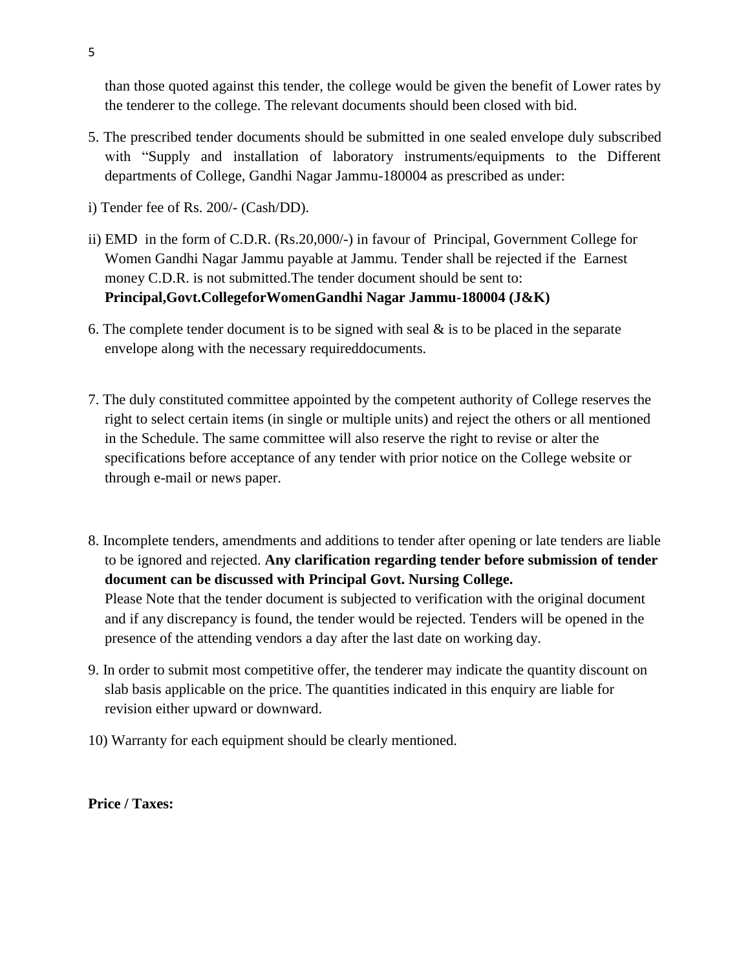than those quoted against this tender, the college would be given the benefit of Lower rates by the tenderer to the college. The relevant documents should been closed with bid.

- 5. The prescribed tender documents should be submitted in one sealed envelope duly subscribed with "Supply and installation of laboratory instruments/equipments to the Different departments of College, Gandhi Nagar Jammu-180004 as prescribed as under:
- i) Tender fee of Rs. 200/- (Cash/DD).
- ii) EMD in the form of C.D.R. (Rs.20,000/-) in favour of Principal, Government College for Women Gandhi Nagar Jammu payable at Jammu. Tender shall be rejected if the Earnest money C.D.R. is not submitted.The tender document should be sent to: **Principal,Govt.CollegeforWomenGandhi Nagar Jammu-180004 (J&K)**
- 6. The complete tender document is to be signed with seal  $\&$  is to be placed in the separate envelope along with the necessary requireddocuments.
- 7. The duly constituted committee appointed by the competent authority of College reserves the right to select certain items (in single or multiple units) and reject the others or all mentioned in the Schedule. The same committee will also reserve the right to revise or alter the specifications before acceptance of any tender with prior notice on the College website or through e-mail or news paper.
- 8. Incomplete tenders, amendments and additions to tender after opening or late tenders are liable to be ignored and rejected. **Any clarification regarding tender before submission of tender document can be discussed with Principal Govt. Nursing College.** Please Note that the tender document is subjected to verification with the original document and if any discrepancy is found, the tender would be rejected. Tenders will be opened in the presence of the attending vendors a day after the last date on working day.
- 9. In order to submit most competitive offer, the tenderer may indicate the quantity discount on slab basis applicable on the price. The quantities indicated in this enquiry are liable for revision either upward or downward.
- 10) Warranty for each equipment should be clearly mentioned.

**Price / Taxes:**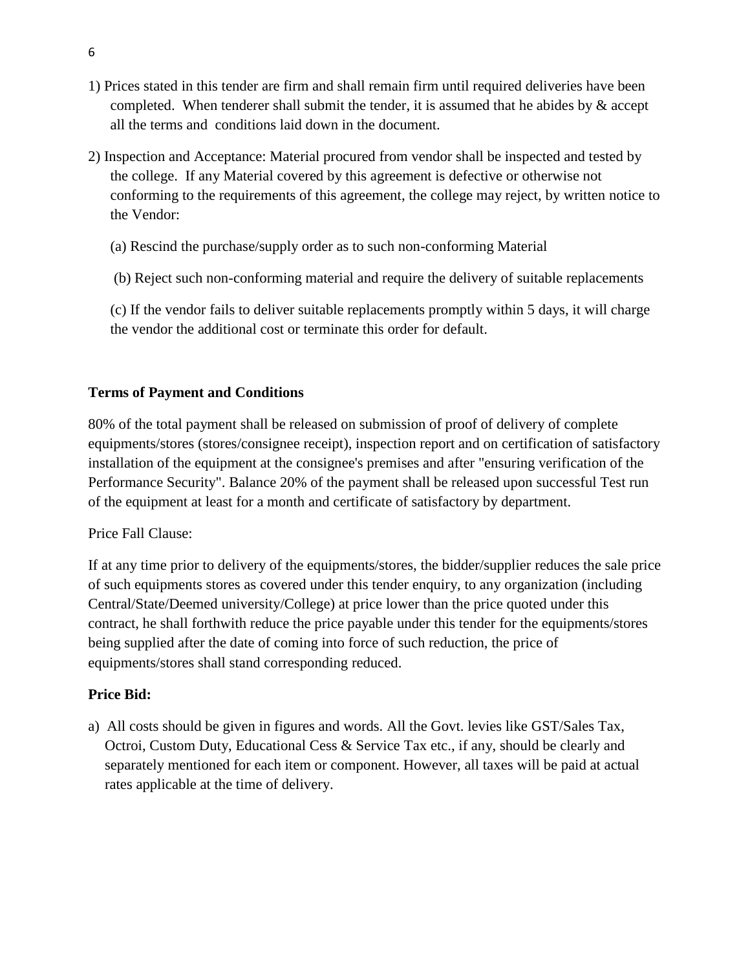- 1) Prices stated in this tender are firm and shall remain firm until required deliveries have been completed. When tenderer shall submit the tender, it is assumed that he abides by  $\&$  accept all the terms and conditions laid down in the document.
- 2) Inspection and Acceptance: Material procured from vendor shall be inspected and tested by the college. If any Material covered by this agreement is defective or otherwise not conforming to the requirements of this agreement, the college may reject, by written notice to the Vendor:
	- (a) Rescind the purchase/supply order as to such non-conforming Material
	- (b) Reject such non-conforming material and require the delivery of suitable replacements
	- (c) If the vendor fails to deliver suitable replacements promptly within 5 days, it will charge the vendor the additional cost or terminate this order for default.

#### **Terms of Payment and Conditions**

80% of the total payment shall be released on submission of proof of delivery of complete equipments/stores (stores/consignee receipt), inspection report and on certification of satisfactory installation of the equipment at the consignee's premises and after "ensuring verification of the Performance Security". Balance 20% of the payment shall be released upon successful Test run of the equipment at least for a month and certificate of satisfactory by department.

#### Price Fall Clause:

If at any time prior to delivery of the equipments/stores, the bidder/supplier reduces the sale price of such equipments stores as covered under this tender enquiry, to any organization (including Central/State/Deemed university/College) at price lower than the price quoted under this contract, he shall forthwith reduce the price payable under this tender for the equipments/stores being supplied after the date of coming into force of such reduction, the price of equipments/stores shall stand corresponding reduced.

#### **Price Bid:**

a) All costs should be given in figures and words. All the Govt. levies like GST/Sales Tax, Octroi, Custom Duty, Educational Cess & Service Tax etc., if any, should be clearly and separately mentioned for each item or component. However, all taxes will be paid at actual rates applicable at the time of delivery.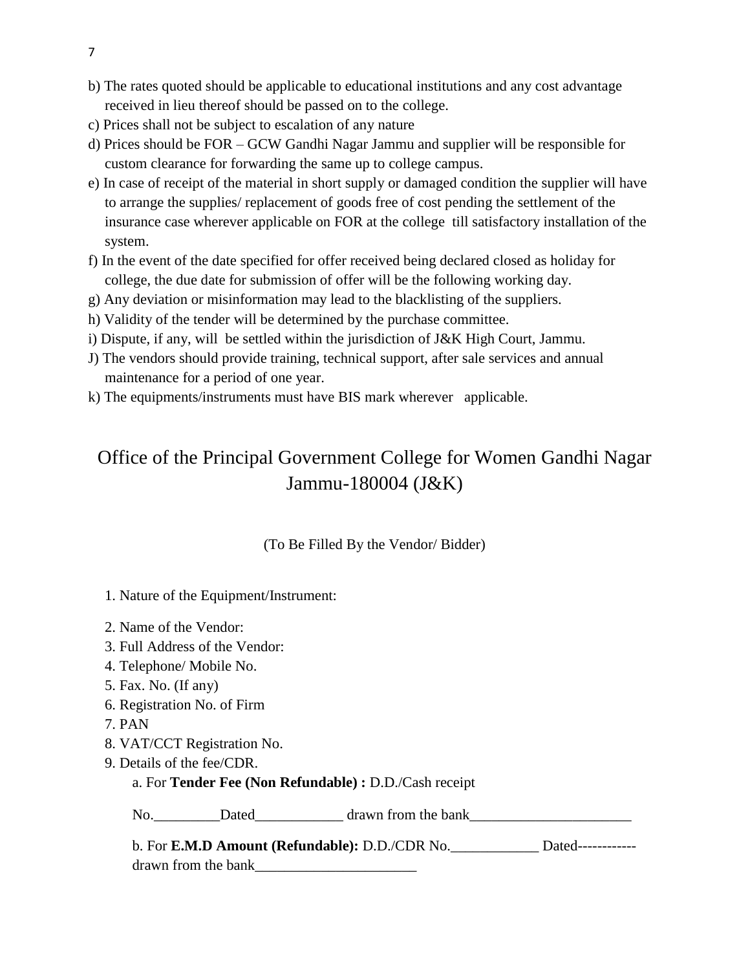- b) The rates quoted should be applicable to educational institutions and any cost advantage received in lieu thereof should be passed on to the college.
- c) Prices shall not be subject to escalation of any nature
- d) Prices should be FOR GCW Gandhi Nagar Jammu and supplier will be responsible for custom clearance for forwarding the same up to college campus.
- e) In case of receipt of the material in short supply or damaged condition the supplier will have to arrange the supplies/ replacement of goods free of cost pending the settlement of the insurance case wherever applicable on FOR at the college till satisfactory installation of the system.
- f) In the event of the date specified for offer received being declared closed as holiday for college, the due date for submission of offer will be the following working day.
- g) Any deviation or misinformation may lead to the blacklisting of the suppliers.
- h) Validity of the tender will be determined by the purchase committee.
- i) Dispute, if any, will be settled within the jurisdiction of J&K High Court, Jammu.
- J) The vendors should provide training, technical support, after sale services and annual maintenance for a period of one year.
- k) The equipments/instruments must have BIS mark wherever applicable.

# Office of the Principal Government College for Women Gandhi Nagar Jammu-180004 (J&K)

#### (To Be Filled By the Vendor/ Bidder)

- 1. Nature of the Equipment/Instrument:
- 2. Name of the Vendor:
- 3. Full Address of the Vendor:
- 4. Telephone/ Mobile No.
- 5. Fax. No. (If any)
- 6. Registration No. of Firm
- 7. PAN
- 8. VAT/CCT Registration No.
- 9. Details of the fee/CDR.

#### a. For **Tender Fee (Non Refundable) :** D.D./Cash receipt

No.\_\_\_\_\_\_\_\_\_Dated\_\_\_\_\_\_\_\_\_\_\_\_ drawn from the bank\_\_\_\_\_\_\_\_\_\_\_\_\_\_\_\_\_\_\_\_\_\_

| b. For <b>E.M.D Amount (Refundable):</b> D.D./CDR No. | Dated------------- |
|-------------------------------------------------------|--------------------|
| drawn from the bank                                   |                    |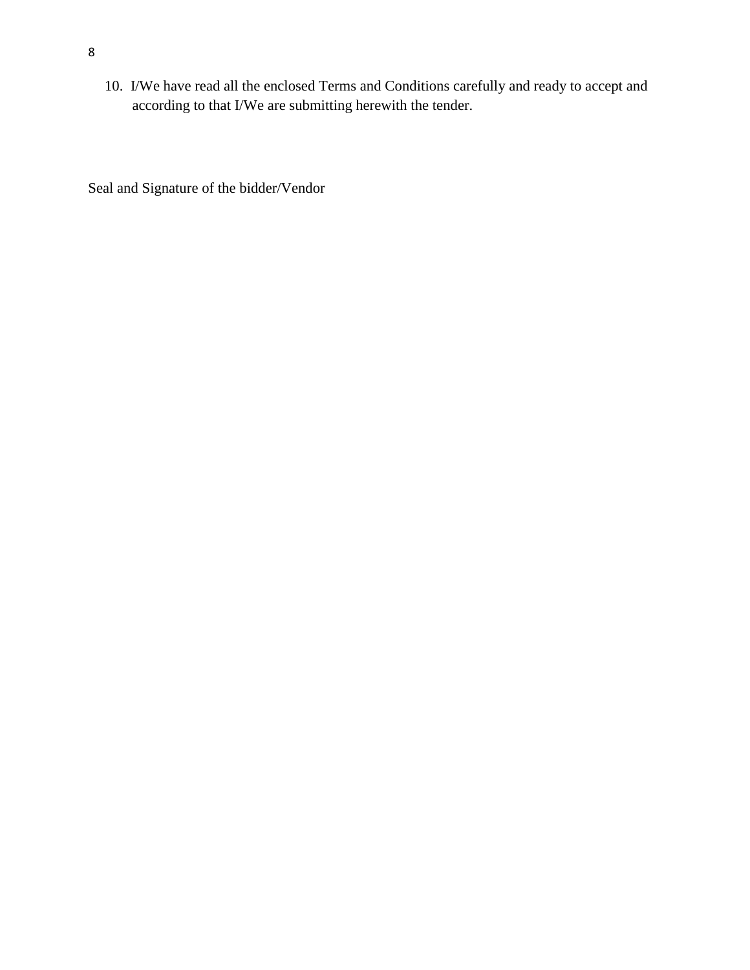10. I/We have read all the enclosed Terms and Conditions carefully and ready to accept and according to that I/We are submitting herewith the tender.

Seal and Signature of the bidder/Vendor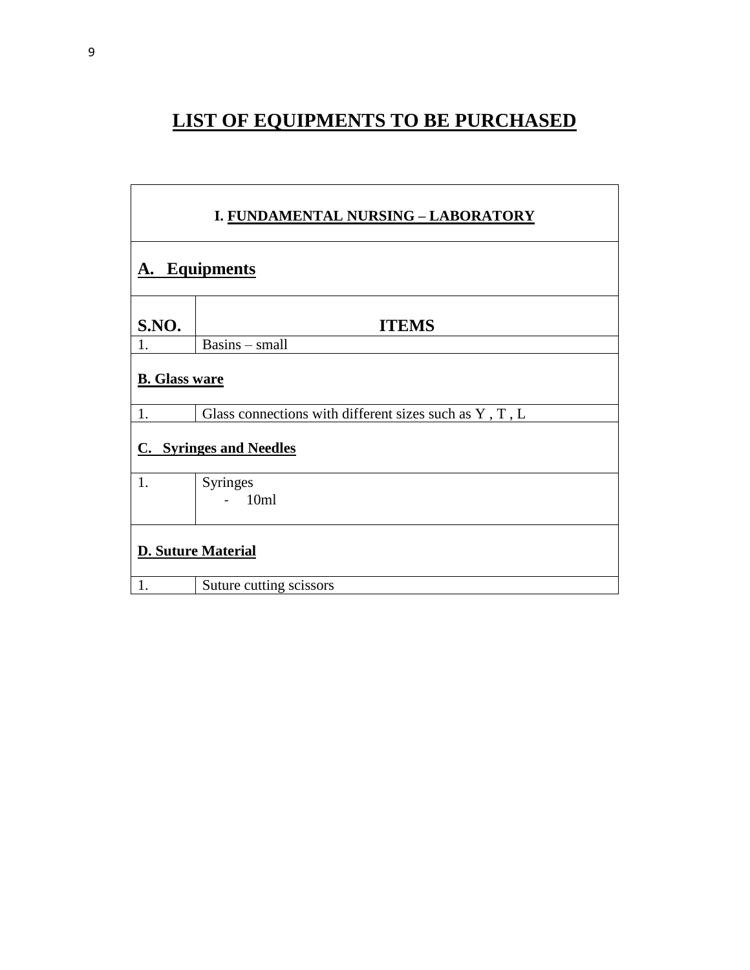# **LIST OF EQUIPMENTS TO BE PURCHASED**

| I. FUNDAMENTAL NURSING - LABORATORY |                                                        |  |
|-------------------------------------|--------------------------------------------------------|--|
|                                     | <b>A.</b> Equipments                                   |  |
| S.NO.                               | <b>ITEMS</b>                                           |  |
| 1.                                  | Basins - small                                         |  |
| <b>B.</b> Glass ware                |                                                        |  |
| 1.                                  | Glass connections with different sizes such as Y, T, L |  |
| <b>C.</b> Syringes and Needles      |                                                        |  |
| 1.                                  | Syringes                                               |  |
|                                     | $-10ml$                                                |  |
|                                     | <b>D. Suture Material</b>                              |  |
| 1.                                  | Suture cutting scissors                                |  |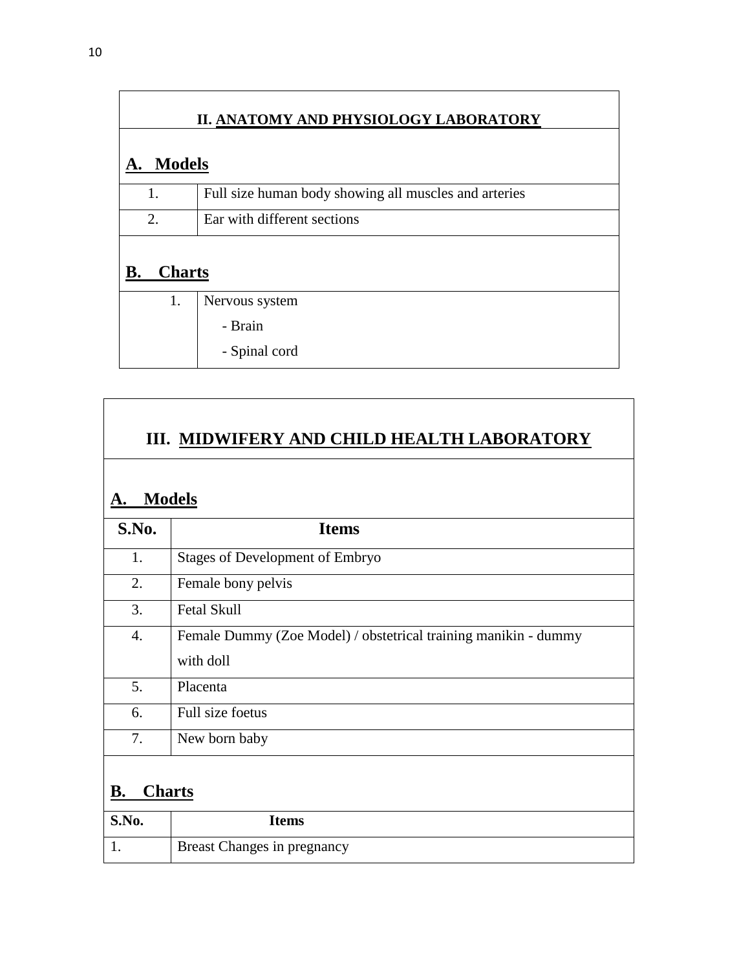| II. ANATOMY AND PHYSIOLOGY LABORATORY |                                                       |  |
|---------------------------------------|-------------------------------------------------------|--|
| <b>Models</b>                         |                                                       |  |
| 1.                                    | Full size human body showing all muscles and arteries |  |
| 2.                                    | Ear with different sections                           |  |
| <b>Charts</b><br>В.                   |                                                       |  |
| 1.                                    | Nervous system                                        |  |
|                                       | - Brain                                               |  |
|                                       | - Spinal cord                                         |  |

 $\mathsf T$ 

| А.    | III. MIDWIFERY AND CHILD HEALTH LABORATORY<br><b>Models</b>                  |  |  |
|-------|------------------------------------------------------------------------------|--|--|
| S.No. | <b>Items</b>                                                                 |  |  |
| 1.    | <b>Stages of Development of Embryo</b>                                       |  |  |
| 2.    | Female bony pelvis                                                           |  |  |
| 3.    | <b>Fetal Skull</b>                                                           |  |  |
| 4.    | Female Dummy (Zoe Model) / obstetrical training manikin - dummy<br>with doll |  |  |
| 5.    | Placenta                                                                     |  |  |
| 6.    | Full size foetus                                                             |  |  |
| 7.    | New born baby                                                                |  |  |
| В.    | <b>Charts</b>                                                                |  |  |
| S.No. | <b>Items</b>                                                                 |  |  |

| <b>S.No.</b> | Items                              |
|--------------|------------------------------------|
|              | <b>Breast Changes in pregnancy</b> |

r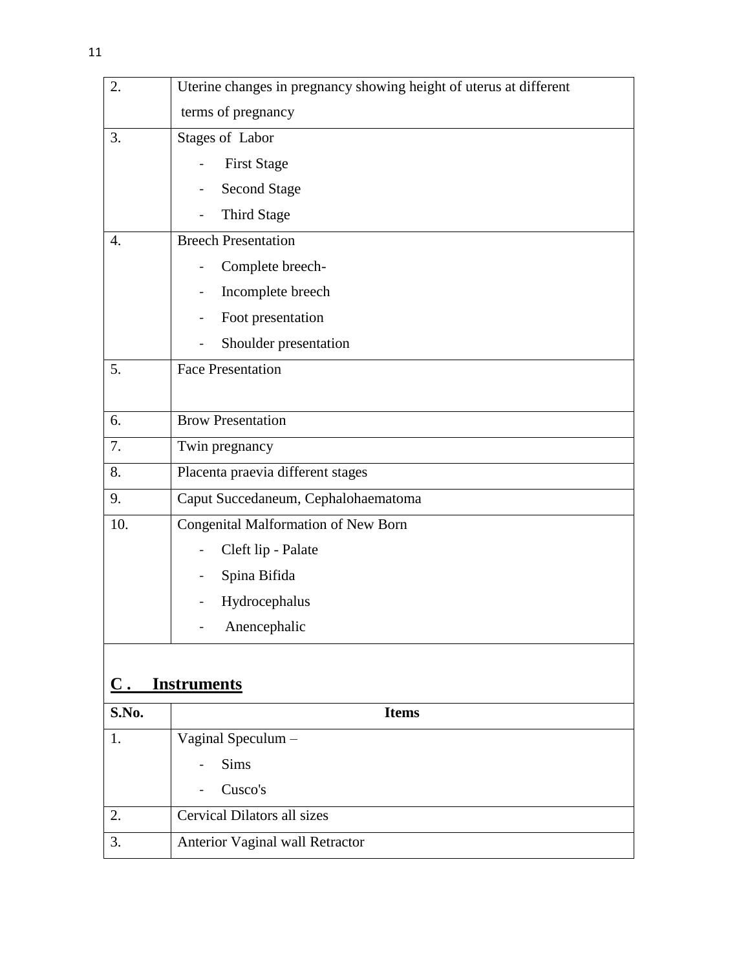| 2.             | Uterine changes in pregnancy showing height of uterus at different |
|----------------|--------------------------------------------------------------------|
|                | terms of pregnancy                                                 |
| 3.             | Stages of Labor                                                    |
|                | <b>First Stage</b>                                                 |
|                | <b>Second Stage</b>                                                |
|                | Third Stage                                                        |
| 4.             | <b>Breech Presentation</b>                                         |
|                | Complete breech-                                                   |
|                | Incomplete breech                                                  |
|                | Foot presentation                                                  |
|                | Shoulder presentation                                              |
| 5.             | <b>Face Presentation</b>                                           |
|                |                                                                    |
| 6.             | <b>Brow Presentation</b>                                           |
| 7.             | Twin pregnancy                                                     |
| 8.             | Placenta praevia different stages                                  |
| 9.             | Caput Succedaneum, Cephalohaematoma                                |
| 10.            | Congenital Malformation of New Born                                |
|                | Cleft lip - Palate                                                 |
|                | Spina Bifida                                                       |
|                | Hydrocephalus                                                      |
|                | Anencephalic                                                       |
|                |                                                                    |
| $\mathbf{C}$ . | <b>Instruments</b>                                                 |
| S.No.          | <b>Items</b>                                                       |
| 1.             | Vaginal Speculum -                                                 |
|                | <b>Sims</b>                                                        |
|                | Cusco's                                                            |
| 2.             | <b>Cervical Dilators all sizes</b>                                 |
| 3.             | Anterior Vaginal wall Retractor                                    |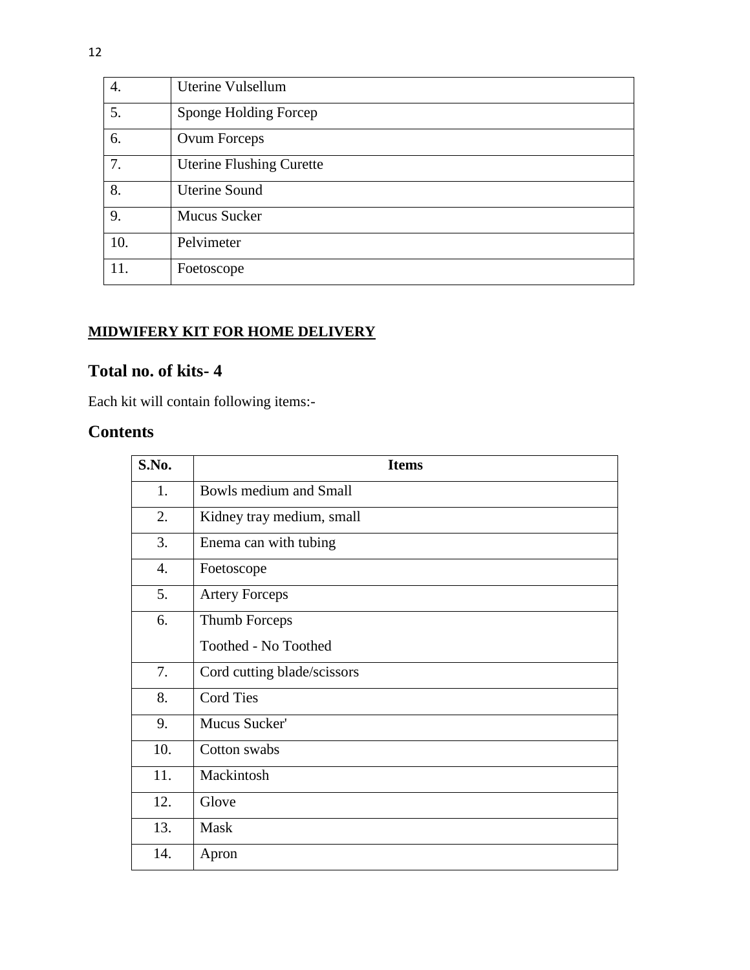| 4.  | Uterine Vulsellum               |
|-----|---------------------------------|
| 5.  | Sponge Holding Forcep           |
| 6.  | Ovum Forceps                    |
| 7.  | <b>Uterine Flushing Curette</b> |
| 8.  | <b>Uterine Sound</b>            |
| 9.  | <b>Mucus Sucker</b>             |
| 10. | Pelvimeter                      |
| 11. | Foetoscope                      |

# **MIDWIFERY KIT FOR HOME DELIVERY**

# **Total no. of kits- 4**

Each kit will contain following items:-

# **Contents**

| S.No.            | <b>Items</b>                  |
|------------------|-------------------------------|
| 1.               | <b>Bowls medium and Small</b> |
| 2.               | Kidney tray medium, small     |
| 3.               | Enema can with tubing         |
| $\overline{4}$ . | Foetoscope                    |
| 5.               | <b>Artery Forceps</b>         |
| 6.               | Thumb Forceps                 |
|                  | Toothed - No Toothed          |
| 7.               | Cord cutting blade/scissors   |
| 8.               | <b>Cord Ties</b>              |
| 9.               | Mucus Sucker'                 |
| 10.              | Cotton swabs                  |
| 11.              | Mackintosh                    |
| 12.              | Glove                         |
| 13.              | Mask                          |
| 14.              | Apron                         |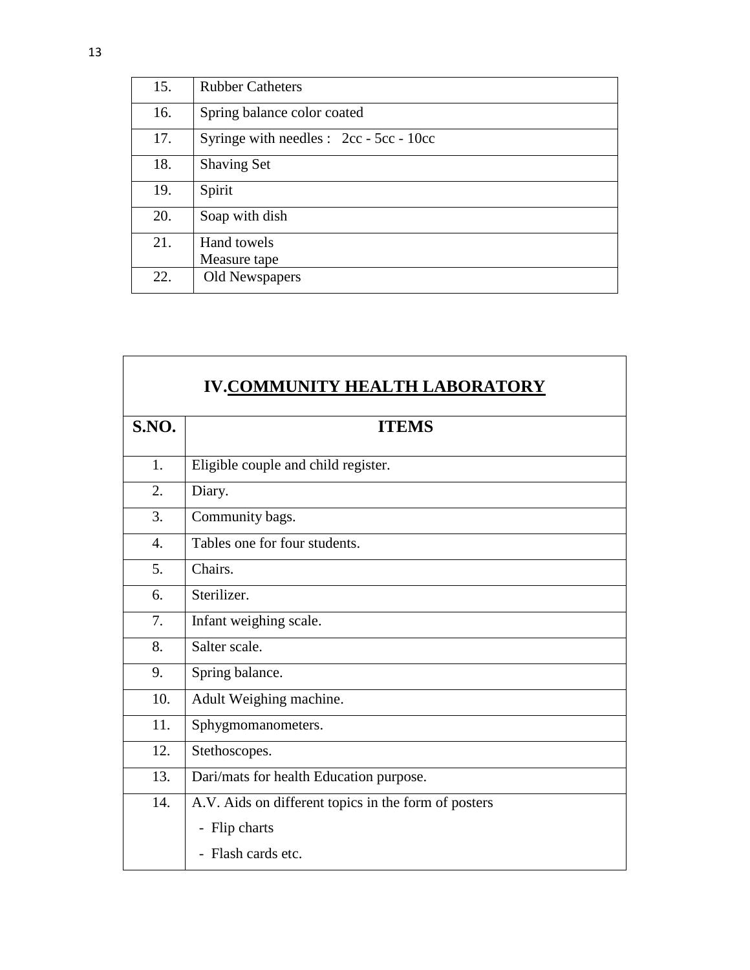| 15. | <b>Rubber Catheters</b>                   |
|-----|-------------------------------------------|
| 16. | Spring balance color coated               |
| 17. | Syringe with needles : $2cc - 5cc - 10cc$ |
| 18. | <b>Shaving Set</b>                        |
| 19. | Spirit                                    |
| 20. | Soap with dish                            |
| 21. | Hand towels                               |
|     | Measure tape                              |
| 22. | Old Newspapers                            |

| <b>S.NO.</b> | <b>ITEMS</b>                                         |
|--------------|------------------------------------------------------|
| 1.           | Eligible couple and child register.                  |
| 2.           | Diary.                                               |
| 3.           | Community bags.                                      |
| 4.           | Tables one for four students.                        |
| 5.           | Chairs.                                              |
| 6.           | Sterilizer.                                          |
| 7.           | Infant weighing scale.                               |
| 8.           | Salter scale.                                        |
| 9.           | Spring balance.                                      |
| 10.          | Adult Weighing machine.                              |
| 11.          | Sphygmomanometers.                                   |
| 12.          | Stethoscopes.                                        |
| 13.          | Dari/mats for health Education purpose.              |
| 14.          | A.V. Aids on different topics in the form of posters |
|              | - Flip charts                                        |
|              | - Flash cards etc.                                   |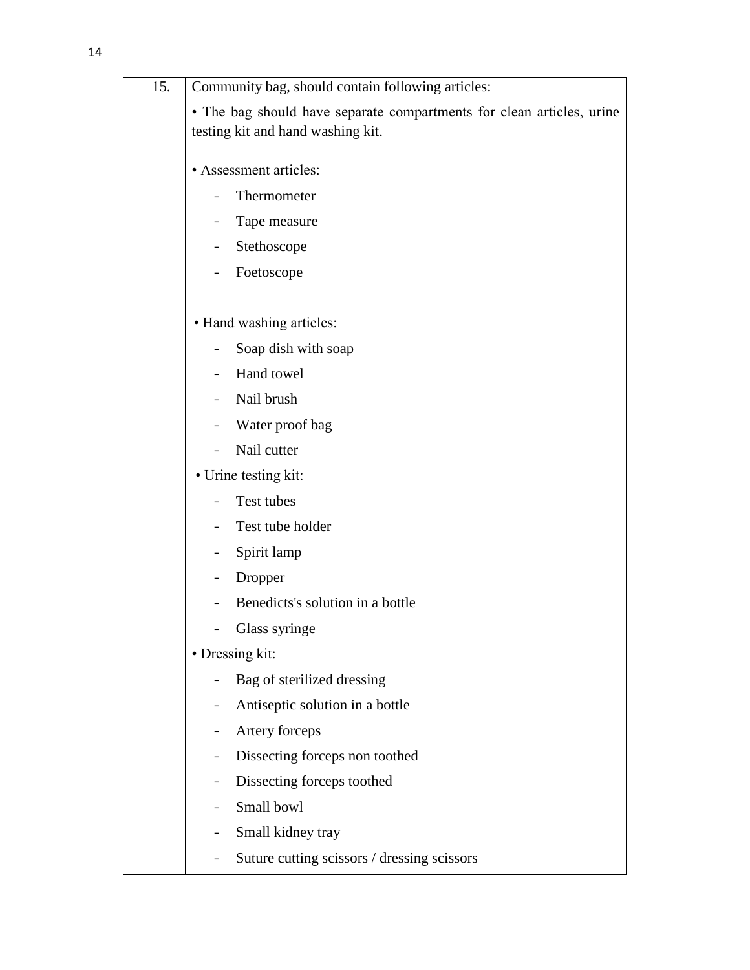| 15. | Community bag, should contain following articles:                                                          |
|-----|------------------------------------------------------------------------------------------------------------|
|     | • The bag should have separate compartments for clean articles, urine<br>testing kit and hand washing kit. |
|     | • Assessment articles:                                                                                     |
|     | Thermometer                                                                                                |
|     | Tape measure                                                                                               |
|     | Stethoscope<br>-                                                                                           |
|     | Foetoscope                                                                                                 |
|     | • Hand washing articles:                                                                                   |
|     | Soap dish with soap                                                                                        |
|     | Hand towel<br>$\overline{\phantom{0}}$                                                                     |
|     | Nail brush<br>$\blacksquare$                                                                               |
|     | Water proof bag<br>Ξ.                                                                                      |
|     | Nail cutter                                                                                                |
|     | • Urine testing kit:                                                                                       |
|     | Test tubes<br>Ξ.                                                                                           |
|     | Test tube holder                                                                                           |
|     | Spirit lamp                                                                                                |
|     | Dropper                                                                                                    |
|     | Benedicts's solution in a bottle                                                                           |
|     | Glass syringe                                                                                              |
|     | • Dressing kit:                                                                                            |
|     | Bag of sterilized dressing<br>$\qquad \qquad \blacksquare$                                                 |
|     | Antiseptic solution in a bottle<br>$\blacksquare$                                                          |
|     | Artery forceps<br>$\qquad \qquad \blacksquare$                                                             |
|     | Dissecting forceps non toothed                                                                             |
|     | Dissecting forceps toothed                                                                                 |
|     | Small bowl<br>-                                                                                            |
|     | Small kidney tray<br>-                                                                                     |
|     | Suture cutting scissors / dressing scissors<br>Ξ.                                                          |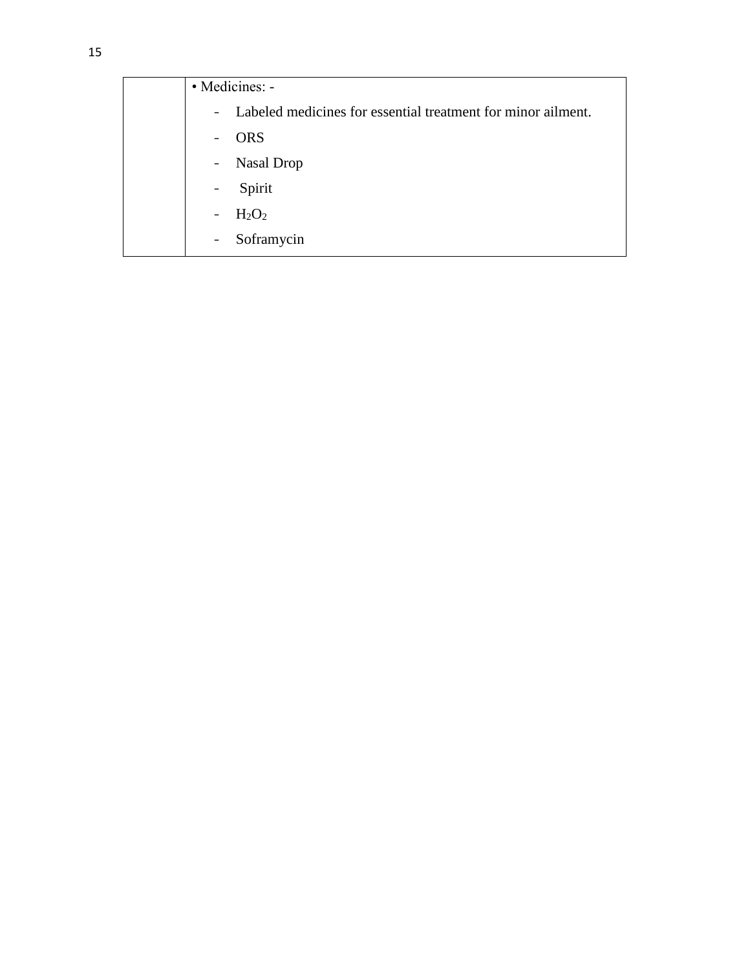| • Medicines: -                                                 |
|----------------------------------------------------------------|
| - Labeled medicines for essential treatment for minor ailment. |
| <b>ORS</b><br>$\blacksquare$                                   |
| - Nasal Drop                                                   |
| Spirit<br>$\blacksquare$                                       |
| $H_2O_2$<br>$\blacksquare$                                     |
| Soframycin<br>$\blacksquare$                                   |